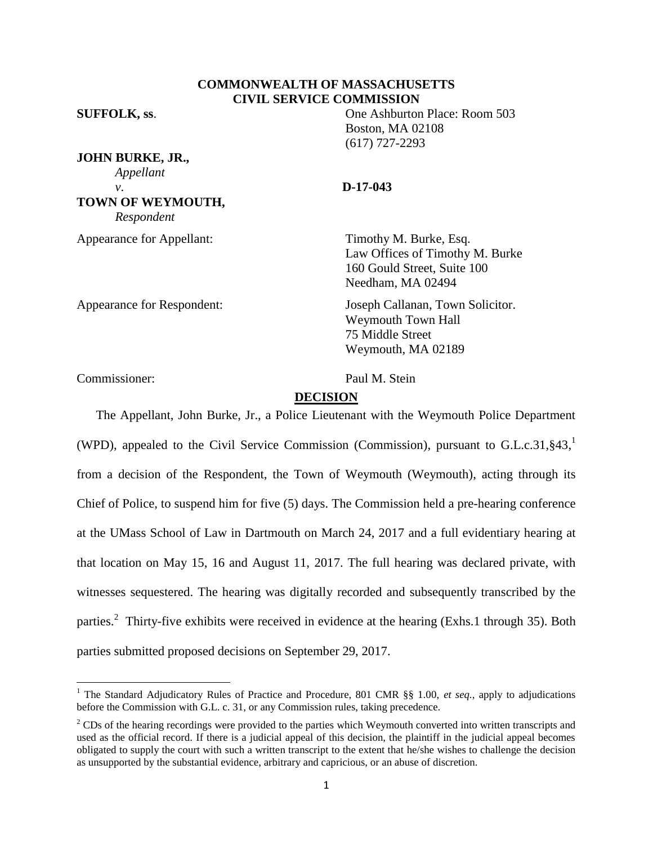# **COMMONWEALTH OF MASSACHUSETTS CIVIL SERVICE COMMISSION**

**JOHN BURKE, JR.,** *Appellant v*. **D-17-043 TOWN OF WEYMOUTH,** *Respondent*

**SUFFOLK, ss**. One Ashburton Place: Room 503 Boston, MA 02108 (617) 727-2293

Appearance for Appellant: Timothy M. Burke, Esq. Law Offices of Timothy M. Burke 160 Gould Street, Suite 100 Needham, MA 02494

Appearance for Respondent: Joseph Callanan, Town Solicitor. Weymouth Town Hall 75 Middle Street Weymouth, MA 02189

Commissioner: Paul M. Stein

 $\overline{\phantom{a}}$ 

#### **DECISION**

The Appellant, John Burke, Jr., a Police Lieutenant with the Weymouth Police Department (WPD), appealed to the Civil Service Commission (Commission), pursuant to G.L.c.31,§43, 1 from a decision of the Respondent, the Town of Weymouth (Weymouth), acting through its Chief of Police, to suspend him for five (5) days. The Commission held a pre-hearing conference at the UMass School of Law in Dartmouth on March 24, 2017 and a full evidentiary hearing at that location on May 15, 16 and August 11, 2017. The full hearing was declared private, with witnesses sequestered. The hearing was digitally recorded and subsequently transcribed by the parties.<sup>2</sup> Thirty-five exhibits were received in evidence at the hearing (Exhs.1 through 35). Both parties submitted proposed decisions on September 29, 2017.

<sup>&</sup>lt;sup>1</sup> The Standard Adjudicatory Rules of Practice and Procedure, 801 CMR §§ 1.00, *et seq.*, apply to adjudications before the Commission with G.L. c. 31, or any Commission rules, taking precedence.

 $2^2$  CDs of the hearing recordings were provided to the parties which Weymouth converted into written transcripts and used as the official record. If there is a judicial appeal of this decision, the plaintiff in the judicial appeal becomes obligated to supply the court with such a written transcript to the extent that he/she wishes to challenge the decision as unsupported by the substantial evidence, arbitrary and capricious, or an abuse of discretion.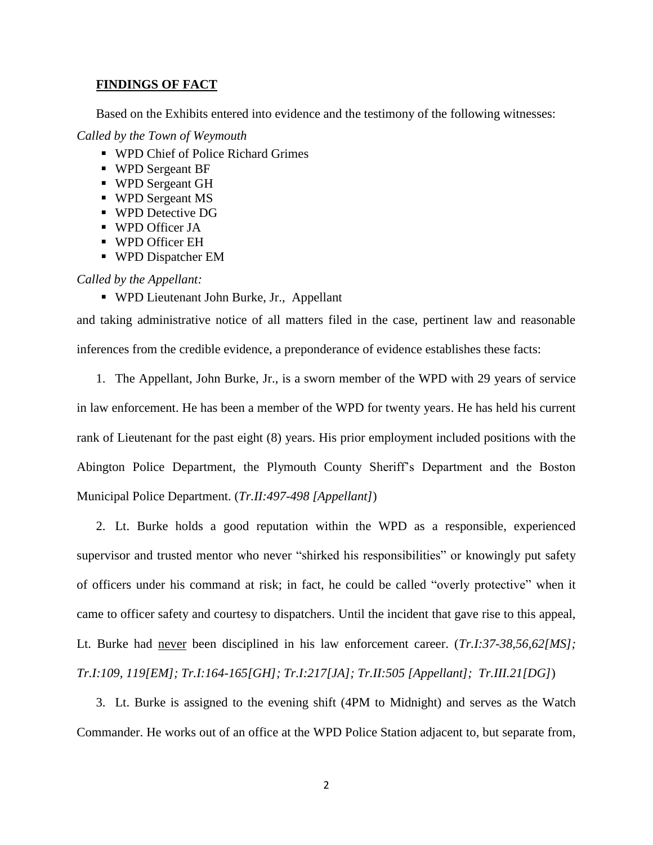# **FINDINGS OF FACT**

Based on the Exhibits entered into evidence and the testimony of the following witnesses:

*Called by the Town of Weymouth*

- WPD Chief of Police Richard Grimes
- WPD Sergeant BF
- WPD Sergeant GH
- WPD Sergeant MS
- WPD Detective DG
- WPD Officer JA
- WPD Officer EH
- WPD Dispatcher EM

#### *Called by the Appellant:*

WPD Lieutenant John Burke, Jr., Appellant

and taking administrative notice of all matters filed in the case, pertinent law and reasonable inferences from the credible evidence, a preponderance of evidence establishes these facts:

1. The Appellant, John Burke, Jr., is a sworn member of the WPD with 29 years of service

in law enforcement. He has been a member of the WPD for twenty years. He has held his current rank of Lieutenant for the past eight (8) years. His prior employment included positions with the Abington Police Department, the Plymouth County Sheriff's Department and the Boston Municipal Police Department. (*Tr.II:497-498 [Appellant]*)

2. Lt. Burke holds a good reputation within the WPD as a responsible, experienced supervisor and trusted mentor who never "shirked his responsibilities" or knowingly put safety of officers under his command at risk; in fact, he could be called "overly protective" when it came to officer safety and courtesy to dispatchers. Until the incident that gave rise to this appeal, Lt. Burke had never been disciplined in his law enforcement career. (*Tr.I:37-38,56,62[MS]; Tr.I:109, 119[EM]; Tr.I:164-165[GH]; Tr.I:217[JA]; Tr.II:505 [Appellant]; Tr.III.21[DG]*)

3. Lt. Burke is assigned to the evening shift (4PM to Midnight) and serves as the Watch Commander. He works out of an office at the WPD Police Station adjacent to, but separate from,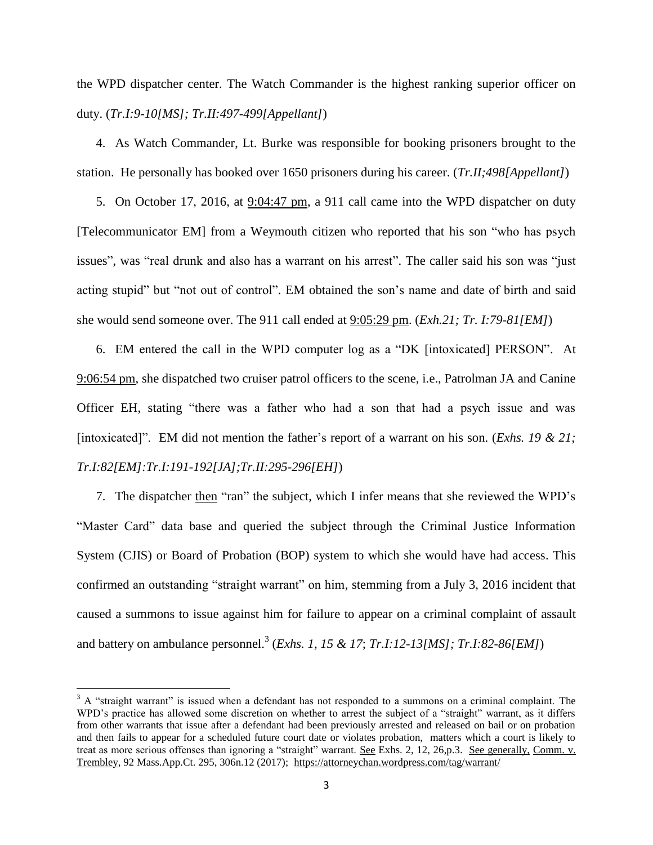the WPD dispatcher center. The Watch Commander is the highest ranking superior officer on duty. (*Tr.I:9-10[MS]; Tr.II:497-499[Appellant]*)

4. As Watch Commander, Lt. Burke was responsible for booking prisoners brought to the station. He personally has booked over 1650 prisoners during his career. (*Tr.II;498[Appellant]*)

5. On October 17, 2016, at 9:04:47 pm, a 911 call came into the WPD dispatcher on duty [Telecommunicator EM] from a Weymouth citizen who reported that his son "who has psych issues", was "real drunk and also has a warrant on his arrest". The caller said his son was "just acting stupid" but "not out of control". EM obtained the son's name and date of birth and said she would send someone over. The 911 call ended at 9:05:29 pm. (*Exh.21; Tr. I:79-81[EM]*)

6. EM entered the call in the WPD computer log as a "DK [intoxicated] PERSON". At 9:06:54 pm, she dispatched two cruiser patrol officers to the scene, i.e., Patrolman JA and Canine Officer EH, stating "there was a father who had a son that had a psych issue and was [intoxicated]". EM did not mention the father's report of a warrant on his son. (*Exhs. 19 & 21; Tr.I:82[EM]:Tr.I:191-192[JA];Tr.II:295-296[EH]*)

7. The dispatcher then "ran" the subject, which I infer means that she reviewed the WPD's "Master Card" data base and queried the subject through the Criminal Justice Information System (CJIS) or Board of Probation (BOP) system to which she would have had access. This confirmed an outstanding "straight warrant" on him, stemming from a July 3, 2016 incident that caused a summons to issue against him for failure to appear on a criminal complaint of assault and battery on ambulance personnel.<sup>3</sup> (*Exhs. 1, 15 & 17*; *Tr.I:12-13[MS]; Tr.I:82-86[EM]*)

l

 $3$  A "straight warrant" is issued when a defendant has not responded to a summons on a criminal complaint. The WPD's practice has allowed some discretion on whether to arrest the subject of a "straight" warrant, as it differs from other warrants that issue after a defendant had been previously arrested and released on bail or on probation and then fails to appear for a scheduled future court date or violates probation, matters which a court is likely to treat as more serious offenses than ignoring a "straight" warrant. <u>See</u> Exhs. 2, 12, 26,p.3. See generally, Comm. v. Trembley, 92 Mass.App.Ct. 295, 306n.12 (2017); <https://attorneychan.wordpress.com/tag/warrant/>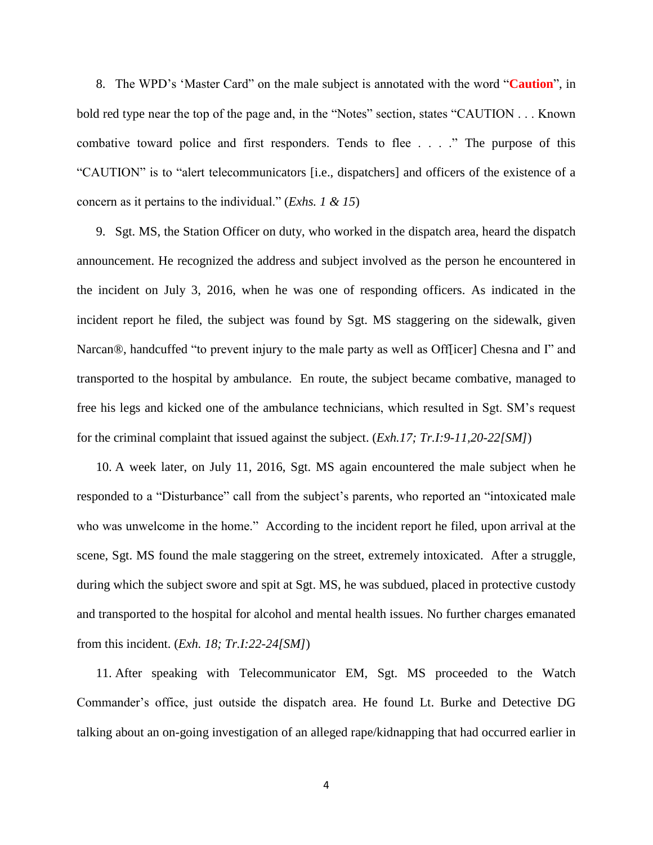8. The WPD's 'Master Card" on the male subject is annotated with the word "**Caution**", in bold red type near the top of the page and, in the "Notes" section, states "CAUTION . . . Known combative toward police and first responders. Tends to flee . . . ." The purpose of this "CAUTION" is to "alert telecommunicators [i.e., dispatchers] and officers of the existence of a concern as it pertains to the individual." (*Exhs. 1 & 15*)

9. Sgt. MS, the Station Officer on duty, who worked in the dispatch area, heard the dispatch announcement. He recognized the address and subject involved as the person he encountered in the incident on July 3, 2016, when he was one of responding officers. As indicated in the incident report he filed, the subject was found by Sgt. MS staggering on the sidewalk, given Narcan®, handcuffed "to prevent injury to the male party as well as Off[icer] Chesna and I" and transported to the hospital by ambulance. En route, the subject became combative, managed to free his legs and kicked one of the ambulance technicians, which resulted in Sgt. SM's request for the criminal complaint that issued against the subject. (*Exh.17; Tr.I:9-11,20-22[SM]*)

10. A week later, on July 11, 2016, Sgt. MS again encountered the male subject when he responded to a "Disturbance" call from the subject's parents, who reported an "intoxicated male who was unwelcome in the home." According to the incident report he filed, upon arrival at the scene, Sgt. MS found the male staggering on the street, extremely intoxicated. After a struggle, during which the subject swore and spit at Sgt. MS, he was subdued, placed in protective custody and transported to the hospital for alcohol and mental health issues. No further charges emanated from this incident. (*Exh. 18; Tr.I:22-24[SM]*)

11. After speaking with Telecommunicator EM, Sgt. MS proceeded to the Watch Commander's office, just outside the dispatch area. He found Lt. Burke and Detective DG talking about an on-going investigation of an alleged rape/kidnapping that had occurred earlier in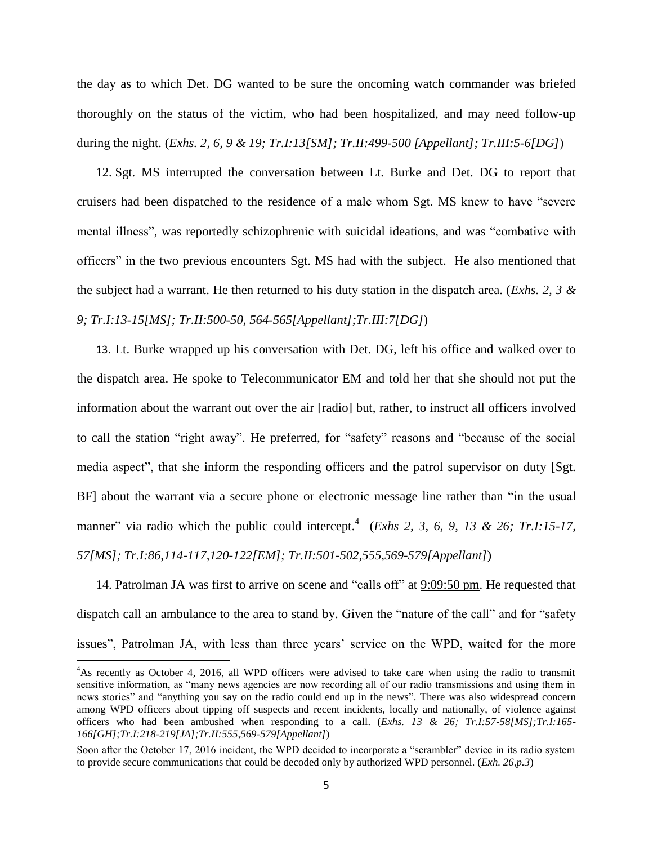the day as to which Det. DG wanted to be sure the oncoming watch commander was briefed thoroughly on the status of the victim, who had been hospitalized, and may need follow-up during the night. (*Exhs. 2, 6, 9 & 19; Tr.I:13[SM]; Tr.II:499-500 [Appellant]; Tr.III:5-6[DG]*)

12. Sgt. MS interrupted the conversation between Lt. Burke and Det. DG to report that cruisers had been dispatched to the residence of a male whom Sgt. MS knew to have "severe mental illness", was reportedly schizophrenic with suicidal ideations, and was "combative with officers" in the two previous encounters Sgt. MS had with the subject. He also mentioned that the subject had a warrant. He then returned to his duty station in the dispatch area. (*Exhs. 2, 3 & 9; Tr.I:13-15[MS]; Tr.II:500-50, 564-565[Appellant];Tr.III:7[DG]*)

13. Lt. Burke wrapped up his conversation with Det. DG, left his office and walked over to the dispatch area. He spoke to Telecommunicator EM and told her that she should not put the information about the warrant out over the air [radio] but, rather, to instruct all officers involved to call the station "right away". He preferred, for "safety" reasons and "because of the social media aspect", that she inform the responding officers and the patrol supervisor on duty [Sgt. BF] about the warrant via a secure phone or electronic message line rather than "in the usual manner" via radio which the public could intercept.<sup>4</sup> (*Exhs 2, 3, 6, 9, 13 & 26; Tr.I:15-17, 57[MS]; Tr.I:86,114-117,120-122[EM]; Tr.II:501-502,555,569-579[Appellant]*)

14. Patrolman JA was first to arrive on scene and "calls off" at 9:09:50 pm. He requested that dispatch call an ambulance to the area to stand by. Given the "nature of the call" and for "safety issues", Patrolman JA, with less than three years' service on the WPD, waited for the more

 $\overline{\phantom{a}}$ 

<sup>4</sup>As recently as October 4, 2016, all WPD officers were advised to take care when using the radio to transmit sensitive information, as "many news agencies are now recording all of our radio transmissions and using them in news stories" and "anything you say on the radio could end up in the news". There was also widespread concern among WPD officers about tipping off suspects and recent incidents, locally and nationally, of violence against officers who had been ambushed when responding to a call. (*Exhs. 13 & 26; Tr.I:57-58[MS];Tr.I:165- 166[GH];Tr.I:218-219[JA];Tr.II:555,569-579[Appellant]*)

Soon after the October 17, 2016 incident, the WPD decided to incorporate a "scrambler" device in its radio system to provide secure communications that could be decoded only by authorized WPD personnel. (*Exh. 26,p.3*)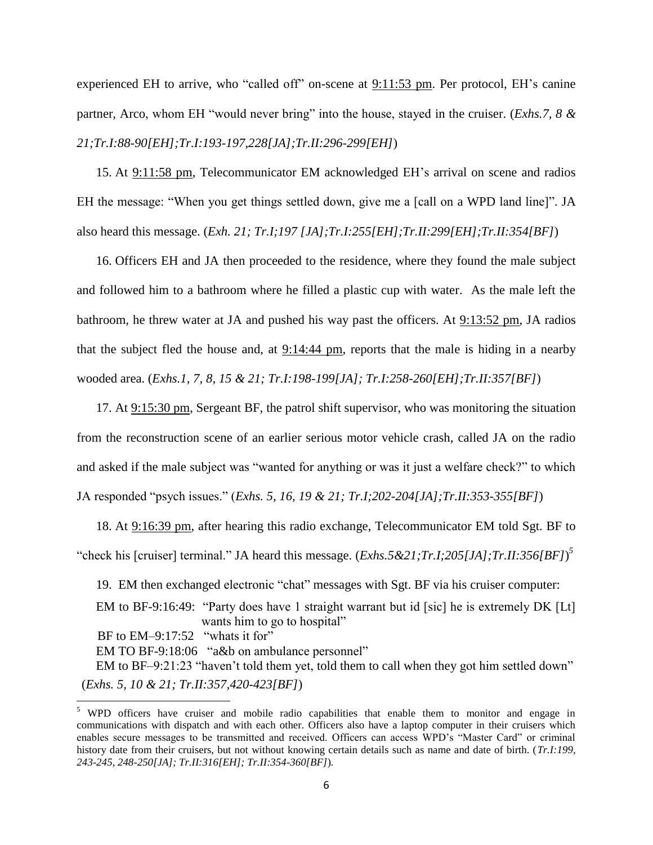experienced EH to arrive, who "called off" on-scene at 9:11:53 pm. Per protocol, EH's canine partner, Arco, whom EH "would never bring" into the house, stayed in the cruiser. (*Exhs.7, 8 & 21;Tr.I:88-90[EH];Tr.I:193-197,228[JA];Tr.II:296-299[EH]*)

15. At 9:11:58 pm, Telecommunicator EM acknowledged EH's arrival on scene and radios EH the message: "When you get things settled down, give me a [call on a WPD land line]". JA also heard this message. (*Exh. 21; Tr.I;197 [JA];Tr.I:255[EH];Tr.II:299[EH];Tr.II:354[BF]*)

16. Officers EH and JA then proceeded to the residence, where they found the male subject and followed him to a bathroom where he filled a plastic cup with water. As the male left the bathroom, he threw water at JA and pushed his way past the officers. At 9:13:52 pm, JA radios that the subject fled the house and, at  $9:14:44$  pm, reports that the male is hiding in a nearby wooded area. (*Exhs.1, 7, 8, 15 & 21; Tr.I:198-199[JA]; Tr.I:258-260[EH];Tr.II:357[BF]*)

17. At 9:15:30 pm, Sergeant BF, the patrol shift supervisor, who was monitoring the situation from the reconstruction scene of an earlier serious motor vehicle crash, called JA on the radio and asked if the male subject was "wanted for anything or was it just a welfare check?" to which JA responded "psych issues." (*Exhs. 5, 16, 19 & 21; Tr.I;202-204[JA];Tr.II:353-355[BF]*)

18. At 9:16:39 pm, after hearing this radio exchange, Telecommunicator EM told Sgt. BF to "check his [cruiser] terminal." JA heard this message. (*Exhs.5&21;Tr.I;205[JA];Tr.II:356[BF]*) *5*

19. EM then exchanged electronic "chat" messages with Sgt. BF via his cruiser computer: EM to BF-9:16:49: "Party does have 1 straight warrant but id [sic] he is extremely DK [Lt] wants him to go to hospital" BF to EM-9:17:52 "whats it for" EM TO BF-9:18:06 "a&b on ambulance personnel" EM to BF–9:21:23 "haven't told them yet, told them to call when they got him settled down" (*Exhs. 5, 10 & 21; Tr.II:357,420-423[BF]*)

 $\overline{a}$ 

<sup>&</sup>lt;sup>5</sup> WPD officers have cruiser and mobile radio capabilities that enable them to monitor and engage in communications with dispatch and with each other. Officers also have a laptop computer in their cruisers which enables secure messages to be transmitted and received. Officers can access WPD's "Master Card" or criminal history date from their cruisers, but not without knowing certain details such as name and date of birth. (*Tr.I:199, 243-245, 248-250[JA]; Tr.II:316[EH]; Tr.II:354-360[BF]*)*.*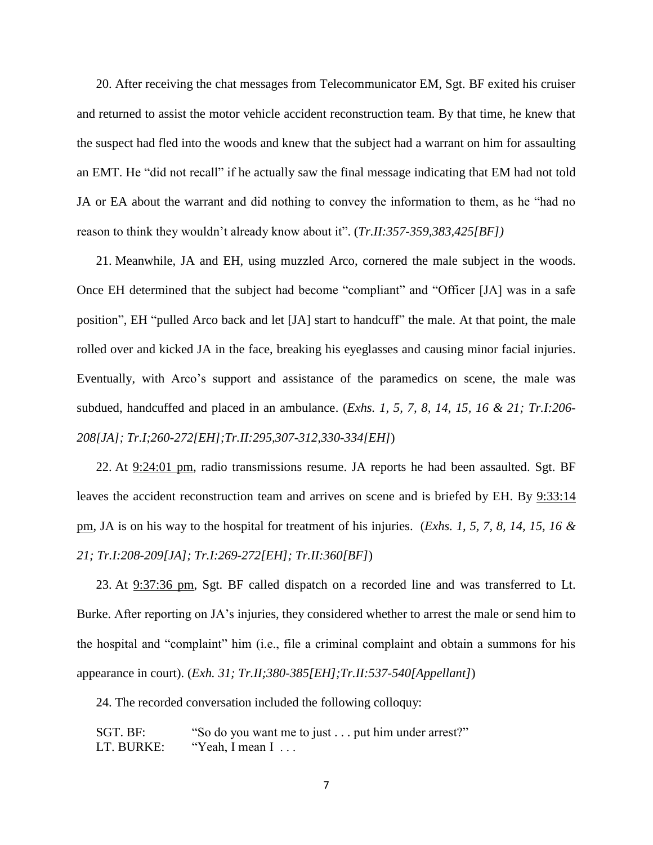20. After receiving the chat messages from Telecommunicator EM, Sgt. BF exited his cruiser and returned to assist the motor vehicle accident reconstruction team. By that time, he knew that the suspect had fled into the woods and knew that the subject had a warrant on him for assaulting an EMT. He "did not recall" if he actually saw the final message indicating that EM had not told JA or EA about the warrant and did nothing to convey the information to them, as he "had no reason to think they wouldn't already know about it". (*Tr.II:357-359,383,425[BF])*

21. Meanwhile, JA and EH, using muzzled Arco, cornered the male subject in the woods. Once EH determined that the subject had become "compliant" and "Officer [JA] was in a safe position", EH "pulled Arco back and let [JA] start to handcuff" the male. At that point, the male rolled over and kicked JA in the face, breaking his eyeglasses and causing minor facial injuries. Eventually, with Arco's support and assistance of the paramedics on scene, the male was subdued, handcuffed and placed in an ambulance. (*Exhs. 1, 5, 7, 8, 14, 15, 16 & 21; Tr.I:206- 208[JA]; Tr.I;260-272[EH];Tr.II:295,307-312,330-334[EH]*)

22. At 9:24:01 pm, radio transmissions resume. JA reports he had been assaulted. Sgt. BF leaves the accident reconstruction team and arrives on scene and is briefed by EH. By 9:33:14 pm, JA is on his way to the hospital for treatment of his injuries. (*Exhs. 1, 5, 7, 8, 14, 15, 16 & 21; Tr.I:208-209[JA]; Tr.I:269-272[EH]; Tr.II:360[BF]*)

23. At 9:37:36 pm, Sgt. BF called dispatch on a recorded line and was transferred to Lt. Burke. After reporting on JA's injuries, they considered whether to arrest the male or send him to the hospital and "complaint" him (i.e., file a criminal complaint and obtain a summons for his appearance in court). (*Exh. 31; Tr.II;380-385[EH];Tr.II:537-540[Appellant]*)

24. The recorded conversation included the following colloquy:

SGT. BF: "So do you want me to just . . . put him under arrest?" LT. BURKE: "Yeah, I mean I ...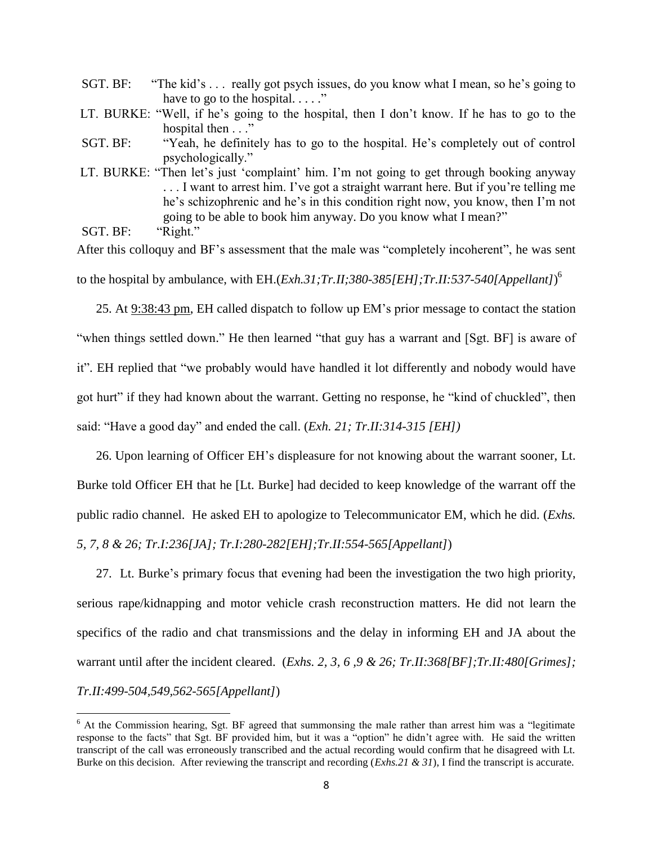| SGT. BF: | "The kid's  really got psych issues, do you know what I mean, so he's going to                                                                                               |
|----------|------------------------------------------------------------------------------------------------------------------------------------------------------------------------------|
|          | have to go to the hospital                                                                                                                                                   |
|          | LT. BURKE: "Well, if he's going to the hospital, then I don't know. If he has to go to the                                                                                   |
|          | hospital then"                                                                                                                                                               |
| SGT. BF: | "Yeah, he definitely has to go to the hospital. He's completely out of control                                                                                               |
|          | psychologically."                                                                                                                                                            |
|          | LT. BURKE: "Then let's just 'complaint' him. I'm not going to get through booking anyway<br>I want to arrest him. I've got a straight warrant here. But if you're telling me |
|          | he's schizophrenic and he's in this condition right now, you know, then I'm not                                                                                              |
|          | going to be able to book him anyway. Do you know what I mean?"                                                                                                               |
| SGT. BF: | "Right."                                                                                                                                                                     |
|          |                                                                                                                                                                              |

After this colloquy and BF's assessment that the male was "completely incoherent", he was sent to the hospital by ambulance, with EH.(*Exh.31;Tr.II;380-385[EH];Tr.II:537-540[Appellant]*) 6

25. At 9:38:43 pm, EH called dispatch to follow up EM's prior message to contact the station "when things settled down." He then learned "that guy has a warrant and [Sgt. BF] is aware of it". EH replied that "we probably would have handled it lot differently and nobody would have got hurt" if they had known about the warrant. Getting no response, he "kind of chuckled", then said: "Have a good day" and ended the call. (*Exh. 21; Tr.II:314-315 [EH])*

26. Upon learning of Officer EH's displeasure for not knowing about the warrant sooner, Lt. Burke told Officer EH that he [Lt. Burke] had decided to keep knowledge of the warrant off the public radio channel. He asked EH to apologize to Telecommunicator EM, which he did. (*Exhs. 5, 7, 8 & 26; Tr.I:236[JA]; Tr.I:280-282[EH];Tr.II:554-565[Appellant]*)

27. Lt. Burke's primary focus that evening had been the investigation the two high priority, serious rape/kidnapping and motor vehicle crash reconstruction matters. He did not learn the specifics of the radio and chat transmissions and the delay in informing EH and JA about the warrant until after the incident cleared. (*Exhs. 2, 3, 6 ,9 & 26; Tr.II:368[BF];Tr.II:480[Grimes]; Tr.II:499-504,549,562-565[Appellant]*)

 $\overline{\phantom{a}}$ 

<sup>&</sup>lt;sup>6</sup> At the Commission hearing, Sgt. BF agreed that summonsing the male rather than arrest him was a "legitimate" response to the facts" that Sgt. BF provided him, but it was a "option" he didn't agree with. He said the written transcript of the call was erroneously transcribed and the actual recording would confirm that he disagreed with Lt. Burke on this decision. After reviewing the transcript and recording (*Exhs.21 & 31*), I find the transcript is accurate.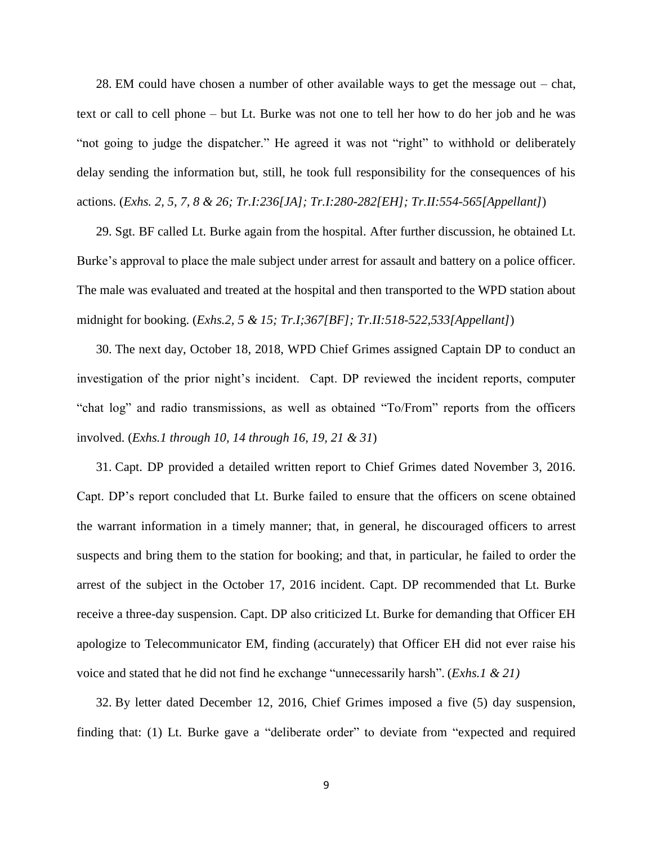28. EM could have chosen a number of other available ways to get the message out – chat, text or call to cell phone – but Lt. Burke was not one to tell her how to do her job and he was "not going to judge the dispatcher." He agreed it was not "right" to withhold or deliberately delay sending the information but, still, he took full responsibility for the consequences of his actions. (*Exhs. 2, 5, 7, 8 & 26; Tr.I:236[JA]; Tr.I:280-282[EH]; Tr.II:554-565[Appellant]*)

29. Sgt. BF called Lt. Burke again from the hospital. After further discussion, he obtained Lt. Burke's approval to place the male subject under arrest for assault and battery on a police officer. The male was evaluated and treated at the hospital and then transported to the WPD station about midnight for booking. (*Exhs.2, 5 & 15; Tr.I;367[BF]; Tr.II:518-522,533[Appellant]*)

30. The next day, October 18, 2018, WPD Chief Grimes assigned Captain DP to conduct an investigation of the prior night's incident. Capt. DP reviewed the incident reports, computer "chat log" and radio transmissions, as well as obtained "To/From" reports from the officers involved. (*Exhs.1 through 10, 14 through 16, 19, 21 & 31*)

31. Capt. DP provided a detailed written report to Chief Grimes dated November 3, 2016. Capt. DP's report concluded that Lt. Burke failed to ensure that the officers on scene obtained the warrant information in a timely manner; that, in general, he discouraged officers to arrest suspects and bring them to the station for booking; and that, in particular, he failed to order the arrest of the subject in the October 17, 2016 incident. Capt. DP recommended that Lt. Burke receive a three-day suspension. Capt. DP also criticized Lt. Burke for demanding that Officer EH apologize to Telecommunicator EM, finding (accurately) that Officer EH did not ever raise his voice and stated that he did not find he exchange "unnecessarily harsh". (*Exhs.1 & 21)*

32. By letter dated December 12, 2016, Chief Grimes imposed a five (5) day suspension, finding that: (1) Lt. Burke gave a "deliberate order" to deviate from "expected and required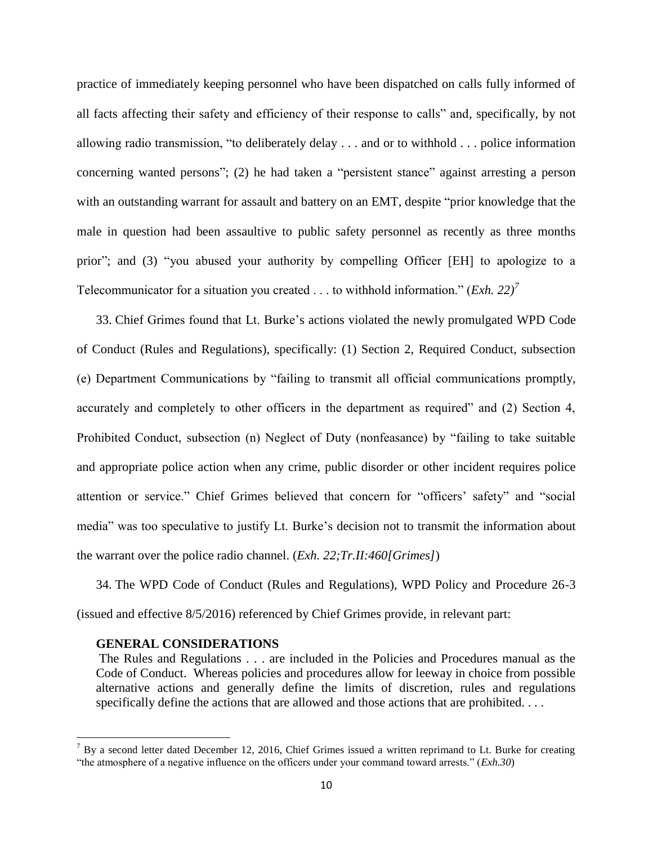practice of immediately keeping personnel who have been dispatched on calls fully informed of all facts affecting their safety and efficiency of their response to calls" and, specifically, by not allowing radio transmission, "to deliberately delay . . . and or to withhold . . . police information concerning wanted persons"; (2) he had taken a "persistent stance" against arresting a person with an outstanding warrant for assault and battery on an EMT, despite "prior knowledge that the male in question had been assaultive to public safety personnel as recently as three months prior"; and (3) "you abused your authority by compelling Officer [EH] to apologize to a Telecommunicator for a situation you created . . . to withhold information." (*Exh. 22)<sup>7</sup>*

33. Chief Grimes found that Lt. Burke's actions violated the newly promulgated WPD Code of Conduct (Rules and Regulations), specifically: (1) Section 2, Required Conduct, subsection (e) Department Communications by "failing to transmit all official communications promptly, accurately and completely to other officers in the department as required" and (2) Section 4, Prohibited Conduct, subsection (n) Neglect of Duty (nonfeasance) by "failing to take suitable and appropriate police action when any crime, public disorder or other incident requires police attention or service." Chief Grimes believed that concern for "officers' safety" and "social media" was too speculative to justify Lt. Burke's decision not to transmit the information about the warrant over the police radio channel. (*Exh. 22;Tr.II:460[Grimes]*)

34. The WPD Code of Conduct (Rules and Regulations), WPD Policy and Procedure 26-3 (issued and effective 8/5/2016) referenced by Chief Grimes provide, in relevant part:

## **GENERAL CONSIDERATIONS**

 $\overline{\phantom{a}}$ 

The Rules and Regulations . . . are included in the Policies and Procedures manual as the Code of Conduct. Whereas policies and procedures allow for leeway in choice from possible alternative actions and generally define the limits of discretion, rules and regulations specifically define the actions that are allowed and those actions that are prohibited. . . .

 $^7$  By a second letter dated December 12, 2016, Chief Grimes issued a written reprimand to Lt. Burke for creating "the atmosphere of a negative influence on the officers under your command toward arrests." (*Exh.30*)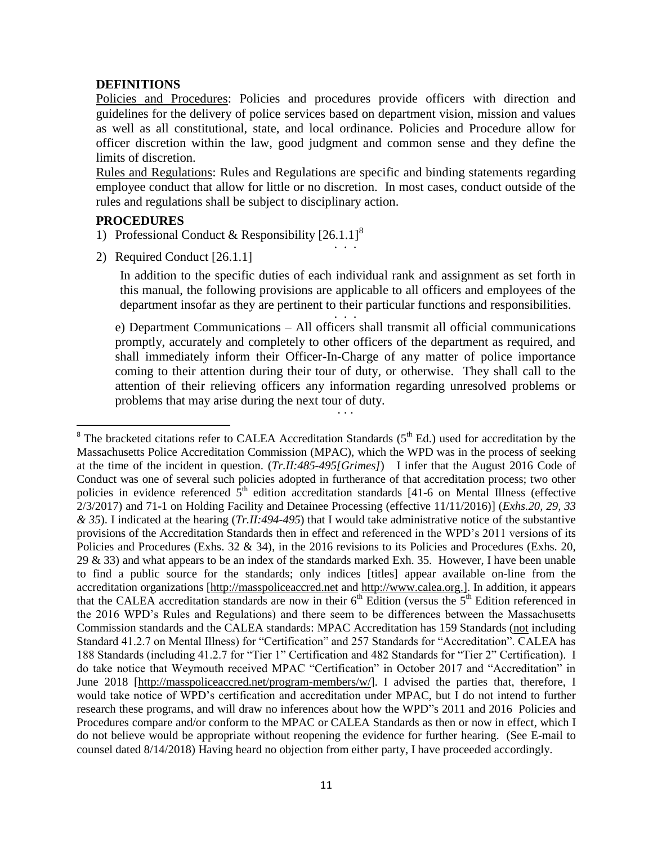# **DEFINITIONS**

Policies and Procedures: Policies and procedures provide officers with direction and guidelines for the delivery of police services based on department vision, mission and values as well as all constitutional, state, and local ordinance. Policies and Procedure allow for officer discretion within the law, good judgment and common sense and they define the limits of discretion.

Rules and Regulations: Rules and Regulations are specific and binding statements regarding employee conduct that allow for little or no discretion. In most cases, conduct outside of the rules and regulations shall be subject to disciplinary action.

# **PROCEDURES**

 $\overline{\phantom{a}}$ 

- 1) Professional Conduct & Responsibility  $[26.1.1]$ <sup>8</sup>  $\ldots$  . . .
- 2) Required Conduct [26.1.1]

In addition to the specific duties of each individual rank and assignment as set forth in this manual, the following provisions are applicable to all officers and employees of the department insofar as they are pertinent to their particular functions and responsibilities. . .....<br>. . .

e) Department Communications – All officers shall transmit all official communications promptly, accurately and completely to other officers of the department as required, and shall immediately inform their Officer-In-Charge of any matter of police importance coming to their attention during their tour of duty, or otherwise. They shall call to the attention of their relieving officers any information regarding unresolved problems or problems that may arise during the next tour of duty.  $\cdot$  . . .

 $8$  The bracketed citations refer to CALEA Accreditation Standards ( $5<sup>th</sup>$  Ed.) used for accreditation by the Massachusetts Police Accreditation Commission (MPAC), which the WPD was in the process of seeking at the time of the incident in question. (*Tr.II:485-495[Grimes]*) I infer that the August 2016 Code of Conduct was one of several such policies adopted in furtherance of that accreditation process; two other policies in evidence referenced  $\tilde{5}^{th}$  edition accreditation standards [41-6 on Mental Illness (effective 2/3/2017) and 71-1 on Holding Facility and Detainee Processing (effective 11/11/2016)] (*Exhs.20, 29, 33 & 35*). I indicated at the hearing (*Tr.II:494-495*) that I would take administrative notice of the substantive provisions of the Accreditation Standards then in effect and referenced in the WPD's 2011 versions of its Policies and Procedures (Exhs. 32 & 34), in the 2016 revisions to its Policies and Procedures (Exhs. 20, 29 & 33) and what appears to be an index of the standards marked Exh. 35. However, I have been unable to find a public source for the standards; only indices [titles] appear available on-line from the accreditation organizations [\[http://masspoliceaccred.net](http://masspoliceaccred.net/) and [http://www.calea.org.](http://www.calea.org/)]. In addition, it appears that the CALEA accreditation standards are now in their  $6<sup>th</sup>$  Edition (versus the  $5<sup>th</sup>$  Edition referenced in the 2016 WPD's Rules and Regulations) and there seem to be differences between the Massachusetts Commission standards and the CALEA standards: MPAC Accreditation has 159 Standards (not including Standard 41.2.7 on Mental Illness) for "Certification" and 257 Standards for "Accreditation". CALEA has 188 Standards (including 41.2.7 for "Tier 1" Certification and 482 Standards for "Tier 2" Certification). I do take notice that Weymouth received MPAC "Certification" in October 2017 and "Accreditation" in June 2018 [\[http://masspoliceaccred.net/program-members/w/\]](http://masspoliceaccred.net/program-members/w/). I advised the parties that, therefore, I would take notice of WPD's certification and accreditation under MPAC, but I do not intend to further research these programs, and will draw no inferences about how the WPD"s 2011 and 2016 Policies and Procedures compare and/or conform to the MPAC or CALEA Standards as then or now in effect, which I do not believe would be appropriate without reopening the evidence for further hearing. (See E-mail to counsel dated 8/14/2018) Having heard no objection from either party, I have proceeded accordingly.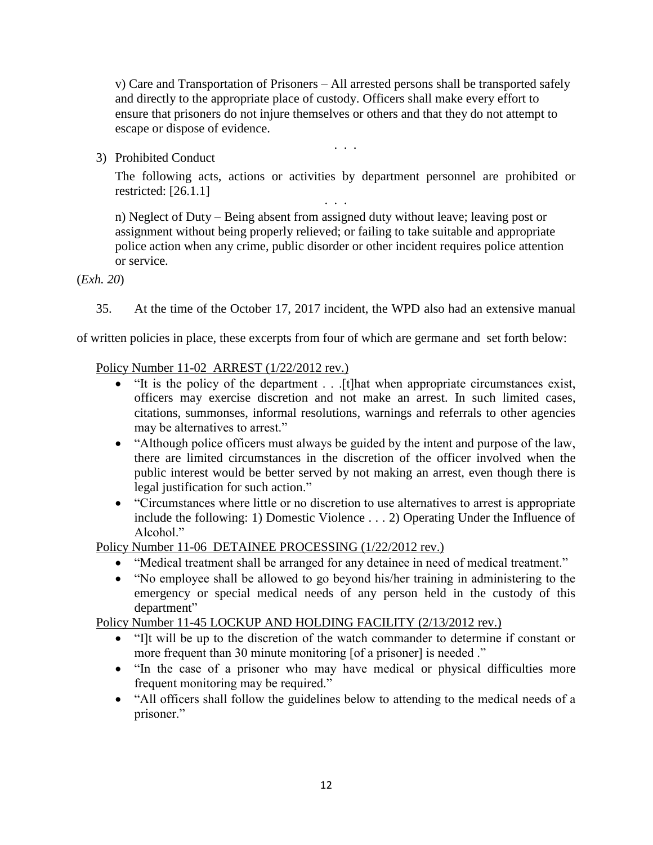v) Care and Transportation of Prisoners – All arrested persons shall be transported safely and directly to the appropriate place of custody. Officers shall make every effort to ensure that prisoners do not injure themselves or others and that they do not attempt to escape or dispose of evidence.

. . .

3) Prohibited Conduct

The following acts, actions or activities by department personnel are prohibited or restricted: [26.1.1] . . .

 n) Neglect of Duty – Being absent from assigned duty without leave; leaving post or assignment without being properly relieved; or failing to take suitable and appropriate police action when any crime, public disorder or other incident requires police attention or service.

(*Exh. 20*)

35. At the time of the October 17, 2017 incident, the WPD also had an extensive manual

of written policies in place, these excerpts from four of which are germane and set forth below:

Policy Number 11-02 ARREST (1/22/2012 rev.)

- $\overline{\cdot}$  "It is the policy of the department . . . [t]hat when appropriate circumstances exist, officers may exercise discretion and not make an arrest. In such limited cases, citations, summonses, informal resolutions, warnings and referrals to other agencies may be alternatives to arrest."
- "Although police officers must always be guided by the intent and purpose of the law, there are limited circumstances in the discretion of the officer involved when the public interest would be better served by not making an arrest, even though there is legal justification for such action."
- "Circumstances where little or no discretion to use alternatives to arrest is appropriate include the following: 1) Domestic Violence . . . 2) Operating Under the Influence of Alcohol<sup>"</sup>

Policy Number 11-06 DETAINEE PROCESSING (1/22/2012 rev.)

- "Medical treatment shall be arranged for any detainee in need of medical treatment."
- "No employee shall be allowed to go beyond his/her training in administering to the emergency or special medical needs of any person held in the custody of this department"

Policy Number 11-45 LOCKUP AND HOLDING FACILITY (2/13/2012 rev.)

- "I]t will be up to the discretion of the watch commander to determine if constant or more frequent than 30 minute monitoring [of a prisoner] is needed ."
- "In the case of a prisoner who may have medical or physical difficulties more frequent monitoring may be required."
- "All officers shall follow the guidelines below to attending to the medical needs of a prisoner."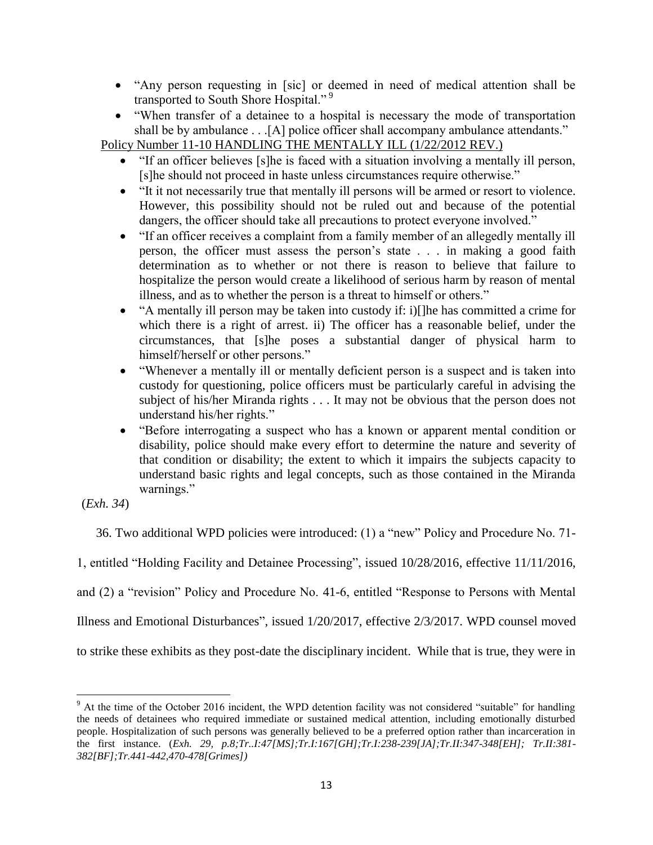- "Any person requesting in [sic] or deemed in need of medical attention shall be transported to South Shore Hospital."<sup>9</sup>
- "When transfer of a detainee to a hospital is necessary the mode of transportation shall be by ambulance . . .[A] police officer shall accompany ambulance attendants."

Policy Number 11-10 HANDLING THE MENTALLY ILL (1/22/2012 REV.)

- "If an officer believes [s]he is faced with a situation involving a mentally ill person, [s]he should not proceed in haste unless circumstances require otherwise."
- "It it not necessarily true that mentally ill persons will be armed or resort to violence. However, this possibility should not be ruled out and because of the potential dangers, the officer should take all precautions to protect everyone involved."
- "If an officer receives a complaint from a family member of an allegedly mentally ill person, the officer must assess the person's state . . . in making a good faith determination as to whether or not there is reason to believe that failure to hospitalize the person would create a likelihood of serious harm by reason of mental illness, and as to whether the person is a threat to himself or others."
- "A mentally ill person may be taken into custody if: i)[]he has committed a crime for which there is a right of arrest. ii) The officer has a reasonable belief, under the circumstances, that [s]he poses a substantial danger of physical harm to himself/herself or other persons."
- "Whenever a mentally ill or mentally deficient person is a suspect and is taken into custody for questioning, police officers must be particularly careful in advising the subject of his/her Miranda rights . . . It may not be obvious that the person does not understand his/her rights."
- "Before interrogating a suspect who has a known or apparent mental condition or disability, police should make every effort to determine the nature and severity of that condition or disability; the extent to which it impairs the subjects capacity to understand basic rights and legal concepts, such as those contained in the Miranda warnings."

(*Exh. 34*)

36. Two additional WPD policies were introduced: (1) a "new" Policy and Procedure No. 71-

1, entitled "Holding Facility and Detainee Processing", issued 10/28/2016, effective 11/11/2016,

and (2) a "revision" Policy and Procedure No. 41-6, entitled "Response to Persons with Mental

Illness and Emotional Disturbances", issued 1/20/2017, effective 2/3/2017. WPD counsel moved

to strike these exhibits as they post-date the disciplinary incident. While that is true, they were in

 $\overline{\phantom{a}}$ <sup>9</sup> At the time of the October 2016 incident, the WPD detention facility was not considered "suitable" for handling the needs of detainees who required immediate or sustained medical attention, including emotionally disturbed people. Hospitalization of such persons was generally believed to be a preferred option rather than incarceration in the first instance. (*Exh. 29, p.8;Tr..I:47[MS];Tr.I:167[GH];Tr.I:238-239[JA];Tr.II:347-348[EH]; Tr.II:381- 382[BF];Tr.441-442,470-478[Grimes])*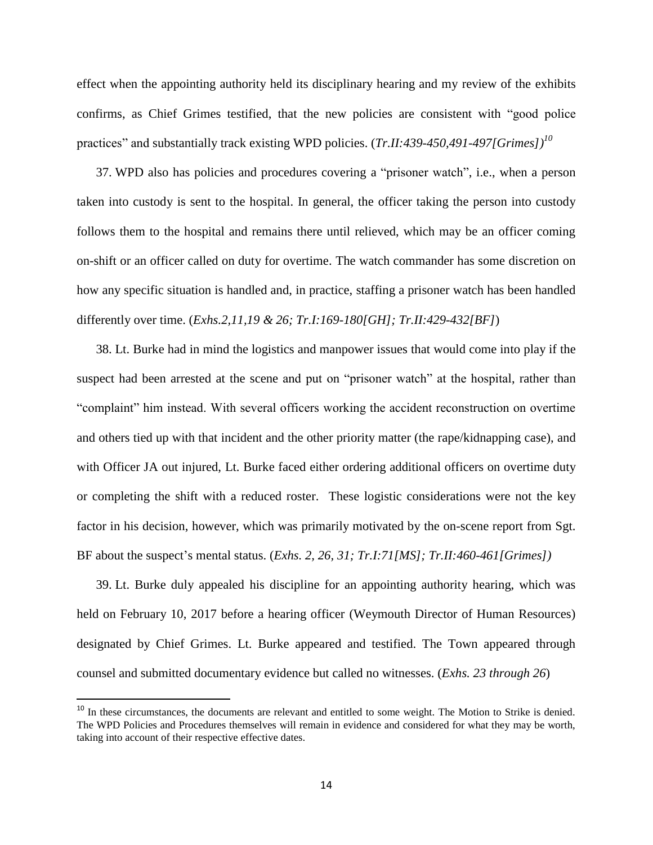effect when the appointing authority held its disciplinary hearing and my review of the exhibits confirms, as Chief Grimes testified, that the new policies are consistent with "good police practices" and substantially track existing WPD policies. (*Tr.II:439-450,491-497[Grimes])<sup>10</sup>*

37. WPD also has policies and procedures covering a "prisoner watch", i.e., when a person taken into custody is sent to the hospital. In general, the officer taking the person into custody follows them to the hospital and remains there until relieved, which may be an officer coming on-shift or an officer called on duty for overtime. The watch commander has some discretion on how any specific situation is handled and, in practice, staffing a prisoner watch has been handled differently over time. (*Exhs.2,11,19 & 26; Tr.I:169-180[GH]; Tr.II:429-432[BF]*)

38. Lt. Burke had in mind the logistics and manpower issues that would come into play if the suspect had been arrested at the scene and put on "prisoner watch" at the hospital, rather than "complaint" him instead. With several officers working the accident reconstruction on overtime and others tied up with that incident and the other priority matter (the rape/kidnapping case), and with Officer JA out injured, Lt. Burke faced either ordering additional officers on overtime duty or completing the shift with a reduced roster. These logistic considerations were not the key factor in his decision, however, which was primarily motivated by the on-scene report from Sgt. BF about the suspect's mental status. (*Exhs. 2, 26, 31; Tr.I:71[MS]; Tr.II:460-461[Grimes])*

39. Lt. Burke duly appealed his discipline for an appointing authority hearing, which was held on February 10, 2017 before a hearing officer (Weymouth Director of Human Resources) designated by Chief Grimes. Lt. Burke appeared and testified. The Town appeared through counsel and submitted documentary evidence but called no witnesses. (*Exhs. 23 through 26*)

 $\overline{\phantom{a}}$ 

<sup>&</sup>lt;sup>10</sup> In these circumstances, the documents are relevant and entitled to some weight. The Motion to Strike is denied. The WPD Policies and Procedures themselves will remain in evidence and considered for what they may be worth, taking into account of their respective effective dates.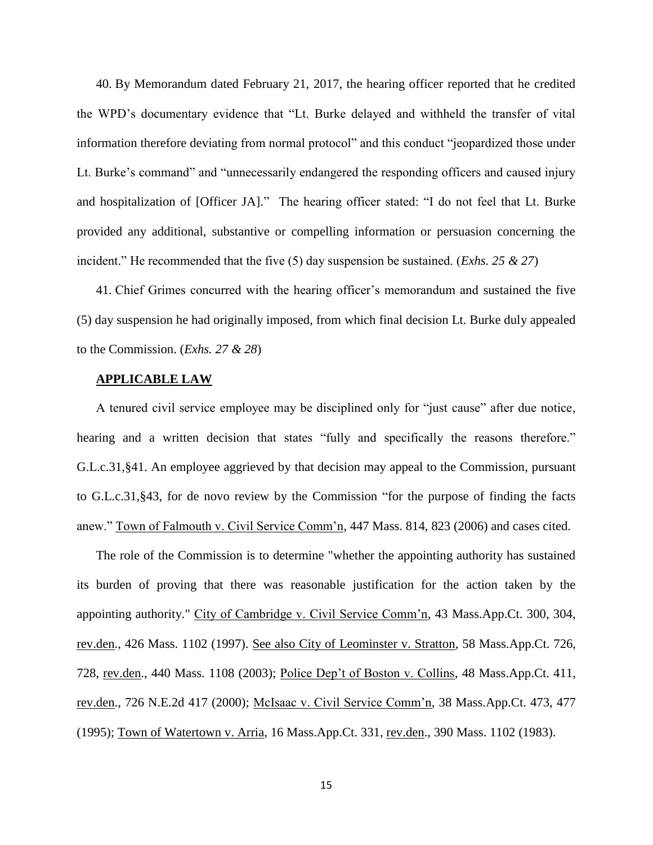40. By Memorandum dated February 21, 2017, the hearing officer reported that he credited the WPD's documentary evidence that "Lt. Burke delayed and withheld the transfer of vital information therefore deviating from normal protocol" and this conduct "jeopardized those under Lt. Burke's command" and "unnecessarily endangered the responding officers and caused injury and hospitalization of [Officer JA]." The hearing officer stated: "I do not feel that Lt. Burke provided any additional, substantive or compelling information or persuasion concerning the incident." He recommended that the five (5) day suspension be sustained. (*Exhs. 25 & 27*)

41. Chief Grimes concurred with the hearing officer's memorandum and sustained the five (5) day suspension he had originally imposed, from which final decision Lt. Burke duly appealed to the Commission. (*Exhs. 27 & 28*)

## **APPLICABLE LAW**

A tenured civil service employee may be disciplined only for "just cause" after due notice, hearing and a written decision that states "fully and specifically the reasons therefore." G.L.c.31,§41. An employee aggrieved by that decision may appeal to the Commission, pursuant to G.L.c.31,§43, for de novo review by the Commission "for the purpose of finding the facts anew." Town of Falmouth v. Civil Service Comm'n, 447 Mass. 814, 823 (2006) and cases cited.

The role of the Commission is to determine "whether the appointing authority has sustained its burden of proving that there was reasonable justification for the action taken by the appointing authority." City of Cambridge v. Civil Service Comm'n, 43 Mass.App.Ct. 300, 304, rev.den., 426 Mass. 1102 (1997). See also City of Leominster v. Stratton, 58 Mass.App.Ct. 726, 728, rev.den., 440 Mass. 1108 (2003); Police Dep't of Boston v. Collins, 48 Mass.App.Ct. 411, rev.den., 726 N.E.2d 417 (2000); McIsaac v. Civil Service Comm'n, 38 Mass.App.Ct. 473, 477 (1995); Town of Watertown v. Arria, 16 Mass.App.Ct. 331, rev.den., 390 Mass. 1102 (1983).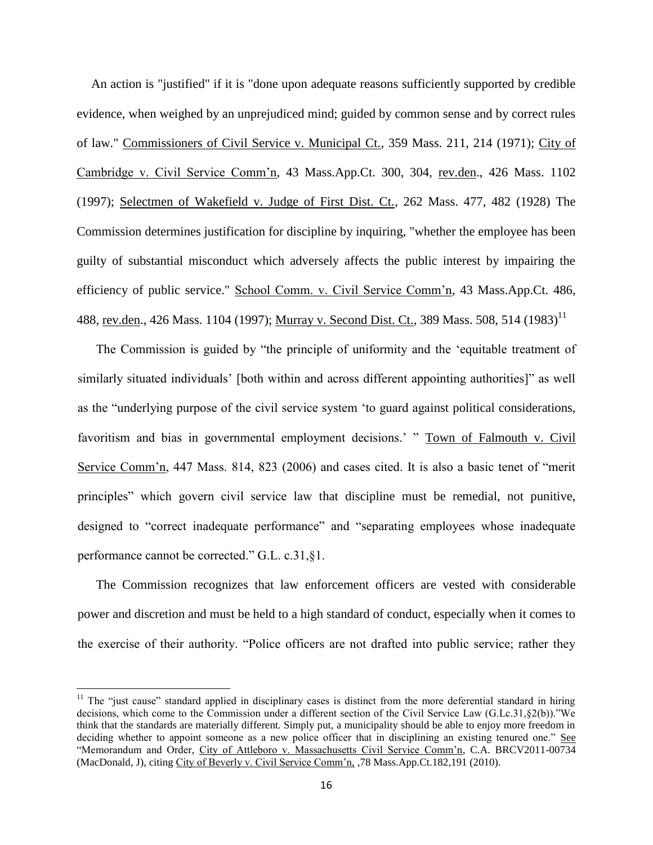An action is "justified" if it is "done upon adequate reasons sufficiently supported by credible evidence, when weighed by an unprejudiced mind; guided by common sense and by correct rules of law." Commissioners of Civil Service v. Municipal Ct., 359 Mass. 211, 214 (1971); City of Cambridge v. Civil Service Comm'n, 43 Mass.App.Ct. 300, 304, rev.den., 426 Mass. 1102 (1997); Selectmen of Wakefield v. Judge of First Dist. Ct., 262 Mass. 477, 482 (1928) The Commission determines justification for discipline by inquiring, "whether the employee has been guilty of substantial misconduct which adversely affects the public interest by impairing the efficiency of public service." School Comm. v. Civil Service Comm'n, 43 Mass.App.Ct. 486, 488, rev.den., 426 Mass. 1104 (1997); Murray v. Second Dist. Ct., 389 Mass. 508, 514 (1983)<sup>11</sup>

The Commission is guided by "the principle of uniformity and the 'equitable treatment of similarly situated individuals' [both within and across different appointing authorities]" as well as the "underlying purpose of the civil service system 'to guard against political considerations, favoritism and bias in governmental employment decisions.' " Town of Falmouth v. Civil Service Comm'n, 447 Mass. 814, 823 (2006) and cases cited. It is also a basic tenet of "merit principles" which govern civil service law that discipline must be remedial, not punitive, designed to "correct inadequate performance" and "separating employees whose inadequate performance cannot be corrected." G.L. c.31,§1.

The Commission recognizes that law enforcement officers are vested with considerable power and discretion and must be held to a high standard of conduct, especially when it comes to the exercise of their authority. "Police officers are not drafted into public service; rather they

l

 $11$  The "just cause" standard applied in disciplinary cases is distinct from the more deferential standard in hiring decisions, which come to the Commission under a different section of the Civil Service Law (G.Lc.31,§2(b))."We think that the standards are materially different. Simply put, a municipality should be able to enjoy more freedom in deciding whether to appoint someone as a new police officer that in disciplining an existing tenured one." See "Memorandum and Order, City of Attleboro v. Massachusetts Civil Service Comm'n, C.A. BRCV2011-00734 (MacDonald, J), citing City of Beverly v. Civil Service Comm'n, ,78 Mass.App.Ct.182,191 (2010).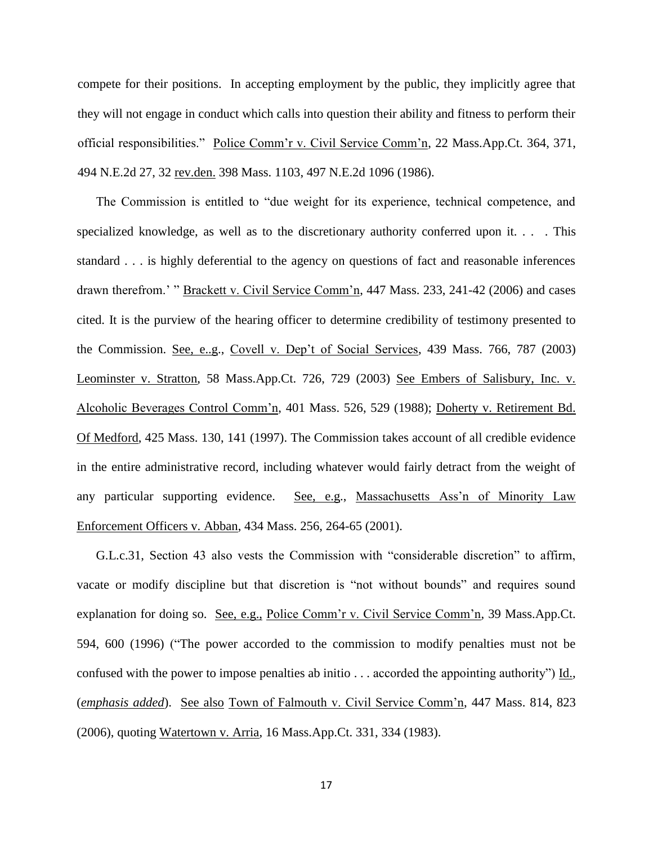compete for their positions. In accepting employment by the public, they implicitly agree that they will not engage in conduct which calls into question their ability and fitness to perform their official responsibilities." Police Comm'r v. Civil Service Comm'n, 22 Mass.App.Ct. 364, 371, 494 N.E.2d 27, 32 rev.den. 398 Mass. 1103, 497 N.E.2d 1096 (1986).

The Commission is entitled to "due weight for its experience, technical competence, and specialized knowledge, as well as to the discretionary authority conferred upon it. . . . This standard . . . is highly deferential to the agency on questions of fact and reasonable inferences drawn therefrom.' " Brackett v. Civil Service Comm'n, 447 Mass. 233, 241-42 (2006) and cases cited. It is the purview of the hearing officer to determine credibility of testimony presented to the Commission. See, e..g., Covell v. Dep't of Social Services, 439 Mass. 766, 787 (2003) Leominster v. Stratton, 58 Mass.App.Ct. 726, 729 (2003) See Embers of Salisbury, Inc. v. Alcoholic Beverages Control Comm'n, 401 Mass. 526, 529 (1988); Doherty v. Retirement Bd. Of Medford, 425 Mass. 130, 141 (1997). The Commission takes account of all credible evidence in the entire administrative record, including whatever would fairly detract from the weight of any particular supporting evidence. See, e.g., Massachusetts Ass'n of Minority Law Enforcement Officers v. Abban, 434 Mass. 256, 264-65 (2001).

G.L.c.31, Section 43 also vests the Commission with "considerable discretion" to affirm, vacate or modify discipline but that discretion is "not without bounds" and requires sound explanation for doing so. See, e.g., Police Comm'r v. Civil Service Comm'n, 39 Mass.App.Ct. 594, 600 (1996) ("The power accorded to the commission to modify penalties must not be confused with the power to impose penalties ab initio  $\ldots$  accorded the appointing authority") Id., (*emphasis added*). See also Town of Falmouth v. Civil Service Comm'n, 447 Mass. 814, 823 (2006), quoting Watertown v. Arria, 16 Mass.App.Ct. 331, 334 (1983).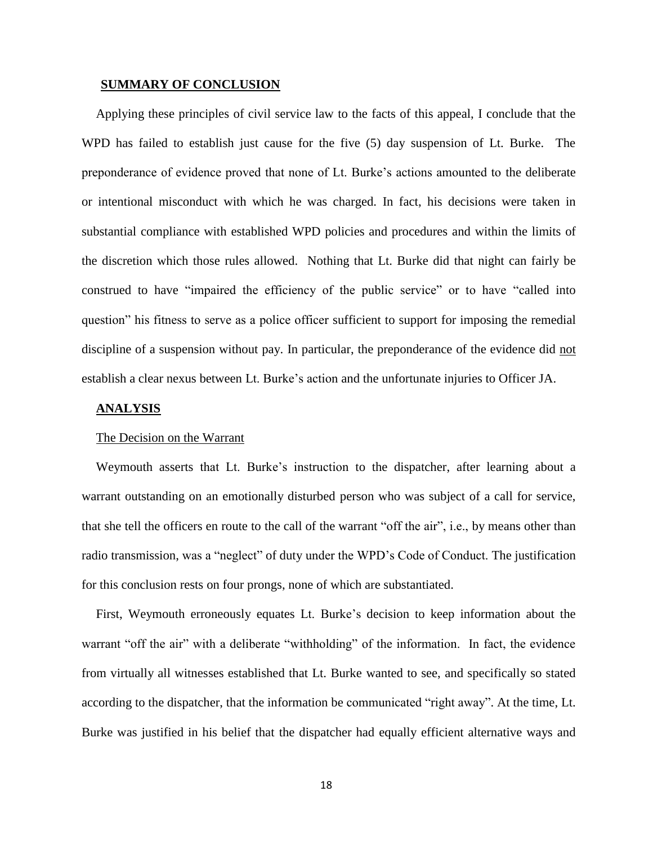#### **SUMMARY OF CONCLUSION**

Applying these principles of civil service law to the facts of this appeal, I conclude that the WPD has failed to establish just cause for the five (5) day suspension of Lt. Burke. The preponderance of evidence proved that none of Lt. Burke's actions amounted to the deliberate or intentional misconduct with which he was charged. In fact, his decisions were taken in substantial compliance with established WPD policies and procedures and within the limits of the discretion which those rules allowed. Nothing that Lt. Burke did that night can fairly be construed to have "impaired the efficiency of the public service" or to have "called into question" his fitness to serve as a police officer sufficient to support for imposing the remedial discipline of a suspension without pay. In particular, the preponderance of the evidence did not establish a clear nexus between Lt. Burke's action and the unfortunate injuries to Officer JA.

## **ANALYSIS**

## The Decision on the Warrant

Weymouth asserts that Lt. Burke's instruction to the dispatcher, after learning about a warrant outstanding on an emotionally disturbed person who was subject of a call for service, that she tell the officers en route to the call of the warrant "off the air", i.e., by means other than radio transmission, was a "neglect" of duty under the WPD's Code of Conduct. The justification for this conclusion rests on four prongs, none of which are substantiated.

First, Weymouth erroneously equates Lt. Burke's decision to keep information about the warrant "off the air" with a deliberate "withholding" of the information. In fact, the evidence from virtually all witnesses established that Lt. Burke wanted to see, and specifically so stated according to the dispatcher, that the information be communicated "right away". At the time, Lt. Burke was justified in his belief that the dispatcher had equally efficient alternative ways and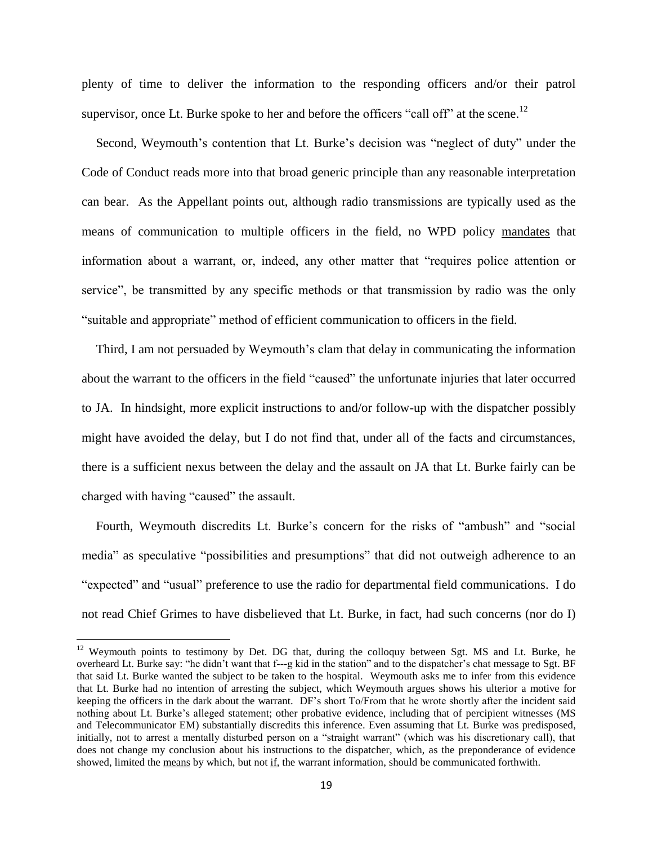plenty of time to deliver the information to the responding officers and/or their patrol supervisor, once Lt. Burke spoke to her and before the officers "call off" at the scene.<sup>12</sup>

Second, Weymouth's contention that Lt. Burke's decision was "neglect of duty" under the Code of Conduct reads more into that broad generic principle than any reasonable interpretation can bear. As the Appellant points out, although radio transmissions are typically used as the means of communication to multiple officers in the field, no WPD policy mandates that information about a warrant, or, indeed, any other matter that "requires police attention or service", be transmitted by any specific methods or that transmission by radio was the only "suitable and appropriate" method of efficient communication to officers in the field.

Third, I am not persuaded by Weymouth's clam that delay in communicating the information about the warrant to the officers in the field "caused" the unfortunate injuries that later occurred to JA. In hindsight, more explicit instructions to and/or follow-up with the dispatcher possibly might have avoided the delay, but I do not find that, under all of the facts and circumstances, there is a sufficient nexus between the delay and the assault on JA that Lt. Burke fairly can be charged with having "caused" the assault.

Fourth, Weymouth discredits Lt. Burke's concern for the risks of "ambush" and "social media" as speculative "possibilities and presumptions" that did not outweigh adherence to an "expected" and "usual" preference to use the radio for departmental field communications. I do not read Chief Grimes to have disbelieved that Lt. Burke, in fact, had such concerns (nor do I)

 $\overline{\phantom{a}}$ 

 $12$  Weymouth points to testimony by Det. DG that, during the colloquy between Sgt. MS and Lt. Burke, he overheard Lt. Burke say: "he didn't want that f---g kid in the station" and to the dispatcher's chat message to Sgt. BF that said Lt. Burke wanted the subject to be taken to the hospital. Weymouth asks me to infer from this evidence that Lt. Burke had no intention of arresting the subject, which Weymouth argues shows his ulterior a motive for keeping the officers in the dark about the warrant. DF's short To/From that he wrote shortly after the incident said nothing about Lt. Burke's alleged statement; other probative evidence, including that of percipient witnesses (MS and Telecommunicator EM) substantially discredits this inference. Even assuming that Lt. Burke was predisposed, initially, not to arrest a mentally disturbed person on a "straight warrant" (which was his discretionary call), that does not change my conclusion about his instructions to the dispatcher, which, as the preponderance of evidence showed, limited the means by which, but not if, the warrant information, should be communicated forthwith.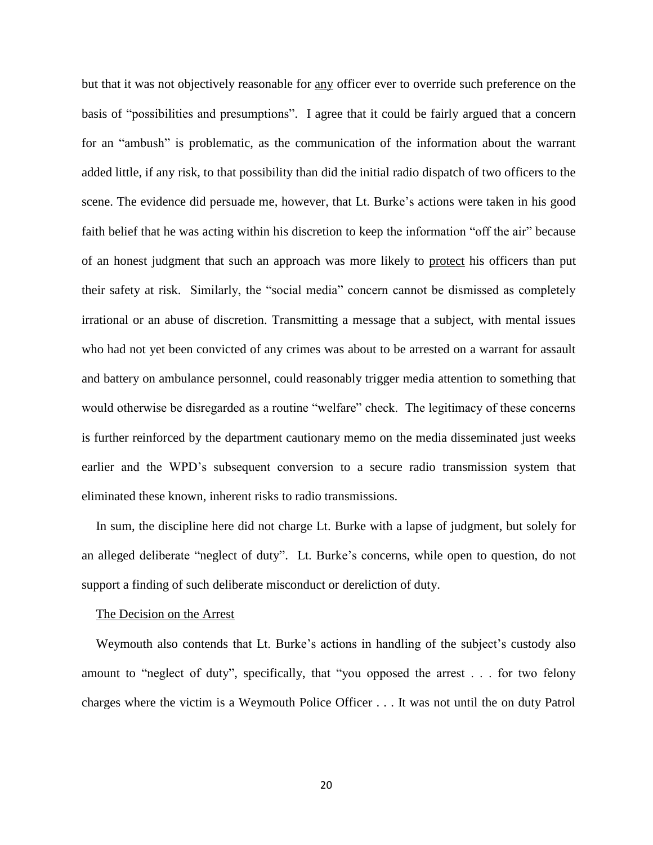but that it was not objectively reasonable for any officer ever to override such preference on the basis of "possibilities and presumptions". I agree that it could be fairly argued that a concern for an "ambush" is problematic, as the communication of the information about the warrant added little, if any risk, to that possibility than did the initial radio dispatch of two officers to the scene. The evidence did persuade me, however, that Lt. Burke's actions were taken in his good faith belief that he was acting within his discretion to keep the information "off the air" because of an honest judgment that such an approach was more likely to protect his officers than put their safety at risk. Similarly, the "social media" concern cannot be dismissed as completely irrational or an abuse of discretion. Transmitting a message that a subject, with mental issues who had not yet been convicted of any crimes was about to be arrested on a warrant for assault and battery on ambulance personnel, could reasonably trigger media attention to something that would otherwise be disregarded as a routine "welfare" check. The legitimacy of these concerns is further reinforced by the department cautionary memo on the media disseminated just weeks earlier and the WPD's subsequent conversion to a secure radio transmission system that eliminated these known, inherent risks to radio transmissions.

In sum, the discipline here did not charge Lt. Burke with a lapse of judgment, but solely for an alleged deliberate "neglect of duty". Lt. Burke's concerns, while open to question, do not support a finding of such deliberate misconduct or dereliction of duty.

#### The Decision on the Arrest

Weymouth also contends that Lt. Burke's actions in handling of the subject's custody also amount to "neglect of duty", specifically, that "you opposed the arrest . . . for two felony charges where the victim is a Weymouth Police Officer . . . It was not until the on duty Patrol

20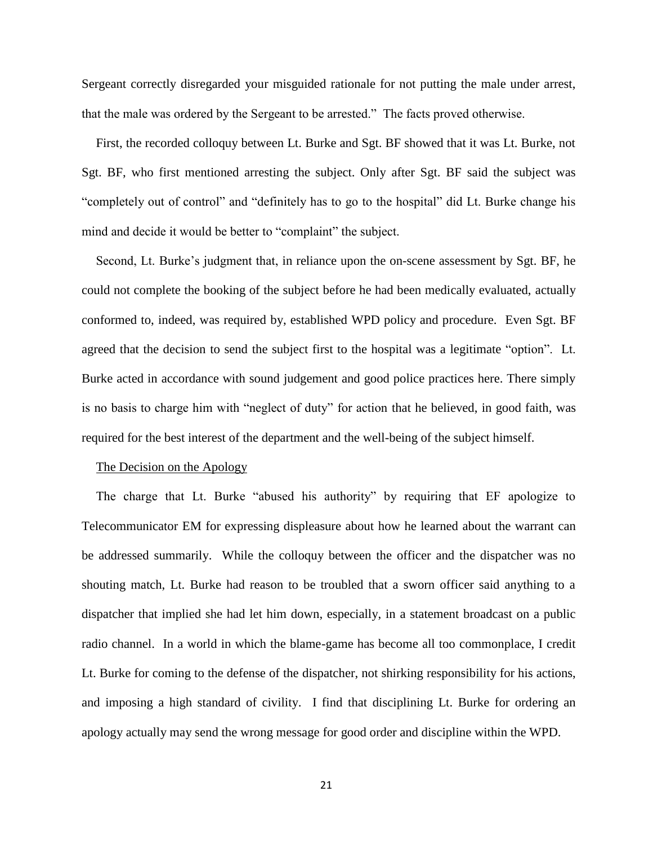Sergeant correctly disregarded your misguided rationale for not putting the male under arrest, that the male was ordered by the Sergeant to be arrested." The facts proved otherwise.

First, the recorded colloquy between Lt. Burke and Sgt. BF showed that it was Lt. Burke, not Sgt. BF, who first mentioned arresting the subject. Only after Sgt. BF said the subject was "completely out of control" and "definitely has to go to the hospital" did Lt. Burke change his mind and decide it would be better to "complaint" the subject.

Second, Lt. Burke's judgment that, in reliance upon the on-scene assessment by Sgt. BF, he could not complete the booking of the subject before he had been medically evaluated, actually conformed to, indeed, was required by, established WPD policy and procedure. Even Sgt. BF agreed that the decision to send the subject first to the hospital was a legitimate "option". Lt. Burke acted in accordance with sound judgement and good police practices here. There simply is no basis to charge him with "neglect of duty" for action that he believed, in good faith, was required for the best interest of the department and the well-being of the subject himself.

### The Decision on the Apology

The charge that Lt. Burke "abused his authority" by requiring that EF apologize to Telecommunicator EM for expressing displeasure about how he learned about the warrant can be addressed summarily. While the colloquy between the officer and the dispatcher was no shouting match, Lt. Burke had reason to be troubled that a sworn officer said anything to a dispatcher that implied she had let him down, especially, in a statement broadcast on a public radio channel. In a world in which the blame-game has become all too commonplace, I credit Lt. Burke for coming to the defense of the dispatcher, not shirking responsibility for his actions, and imposing a high standard of civility. I find that disciplining Lt. Burke for ordering an apology actually may send the wrong message for good order and discipline within the WPD.